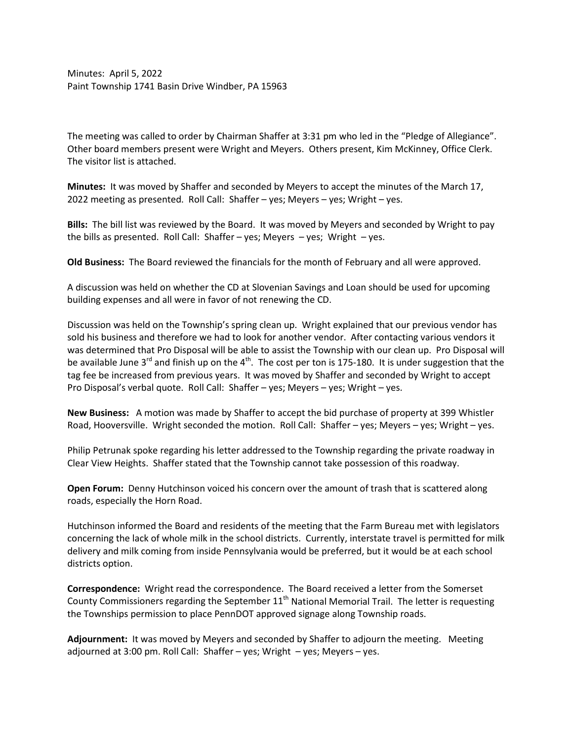Minutes: April 5, 2022 Paint Township 1741 Basin Drive Windber, PA 15963

The meeting was called to order by Chairman Shaffer at 3:31 pm who led in the "Pledge of Allegiance". Other board members present were Wright and Meyers. Others present, Kim McKinney, Office Clerk. The visitor list is attached.

**Minutes:** It was moved by Shaffer and seconded by Meyers to accept the minutes of the March 17, 2022 meeting as presented. Roll Call: Shaffer – yes; Meyers – yes; Wright – yes.

**Bills:** The bill list was reviewed by the Board. It was moved by Meyers and seconded by Wright to pay the bills as presented. Roll Call: Shaffer – yes; Meyers – yes; Wright – yes.

**Old Business:** The Board reviewed the financials for the month of February and all were approved.

A discussion was held on whether the CD at Slovenian Savings and Loan should be used for upcoming building expenses and all were in favor of not renewing the CD.

Discussion was held on the Township's spring clean up. Wright explained that our previous vendor has sold his business and therefore we had to look for another vendor. After contacting various vendors it was determined that Pro Disposal will be able to assist the Township with our clean up. Pro Disposal will be available June  $3^{rd}$  and finish up on the  $4^{th}$ . The cost per ton is 175-180. It is under suggestion that the tag fee be increased from previous years. It was moved by Shaffer and seconded by Wright to accept Pro Disposal's verbal quote. Roll Call: Shaffer – yes; Meyers – yes; Wright – yes.

**New Business:** A motion was made by Shaffer to accept the bid purchase of property at 399 Whistler Road, Hooversville. Wright seconded the motion. Roll Call: Shaffer – yes; Meyers – yes; Wright – yes.

Philip Petrunak spoke regarding his letter addressed to the Township regarding the private roadway in Clear View Heights. Shaffer stated that the Township cannot take possession of this roadway.

**Open Forum:** Denny Hutchinson voiced his concern over the amount of trash that is scattered along roads, especially the Horn Road.

Hutchinson informed the Board and residents of the meeting that the Farm Bureau met with legislators concerning the lack of whole milk in the school districts. Currently, interstate travel is permitted for milk delivery and milk coming from inside Pennsylvania would be preferred, but it would be at each school districts option.

**Correspondence:** Wright read the correspondence. The Board received a letter from the Somerset County Commissioners regarding the September  $11<sup>th</sup>$  National Memorial Trail. The letter is requesting the Townships permission to place PennDOT approved signage along Township roads.

**Adjournment:** It was moved by Meyers and seconded by Shaffer to adjourn the meeting. Meeting adjourned at 3:00 pm. Roll Call: Shaffer – yes; Wright – yes; Meyers – yes.